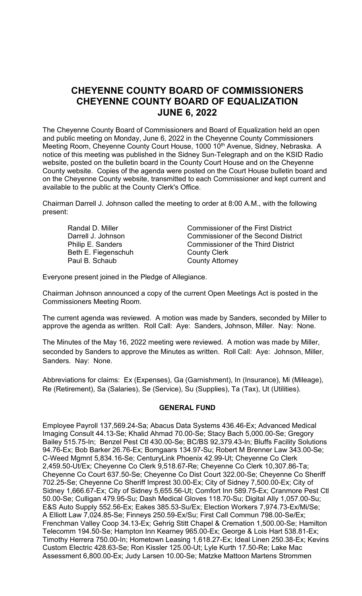# **CHEYENNE COUNTY BOARD OF COMMISSIONERS CHEYENNE COUNTY BOARD OF EQUALIZATION JUNE 6, 2022**

The Cheyenne County Board of Commissioners and Board of Equalization held an open and public meeting on Monday, June 6, 2022 in the Cheyenne County Commissioners Meeting Room, Cheyenne County Court House, 1000 10<sup>th</sup> Avenue, Sidney, Nebraska. A notice of this meeting was published in the Sidney Sun-Telegraph and on the KSID Radio website, posted on the bulletin board in the County Court House and on the Cheyenne County website. Copies of the agenda were posted on the Court House bulletin board and on the Cheyenne County website, transmitted to each Commissioner and kept current and available to the public at the County Clerk's Office.

Chairman Darrell J. Johnson called the meeting to order at 8:00 A.M., with the following present:

Beth E. Fiegenschuh County Clerk Paul B. Schaub County Attorney

Randal D. Miller Commissioner of the First District Darrell J. Johnson Commissioner of the Second District Philip E. Sanders **Commissioner of the Third District** 

Everyone present joined in the Pledge of Allegiance.

Chairman Johnson announced a copy of the current Open Meetings Act is posted in the Commissioners Meeting Room.

The current agenda was reviewed. A motion was made by Sanders, seconded by Miller to approve the agenda as written. Roll Call: Aye: Sanders, Johnson, Miller. Nay: None.

The Minutes of the May 16, 2022 meeting were reviewed. A motion was made by Miller, seconded by Sanders to approve the Minutes as written. Roll Call: Aye: Johnson, Miller, Sanders. Nay: None.

Abbreviations for claims: Ex (Expenses), Ga (Garnishment), In (Insurance), Mi (Mileage), Re (Retirement), Sa (Salaries), Se (Service), Su (Supplies), Ta (Tax), Ut (Utilities).

### **GENERAL FUND**

Employee Payroll 137,569.24-Sa; Abacus Data Systems 436.46-Ex; Advanced Medical Imaging Consult 44.13-Se; Khalid Ahmad 70.00-Se; Stacy Bach 5,000.00-Se; Gregory Bailey 515.75-In; Benzel Pest Ctl 430.00-Se; BC/BS 92,379.43-In; Bluffs Facility Solutions 94.76-Ex; Bob Barker 26.76-Ex; Bomgaars 134.97-Su; Robert M Brenner Law 343.00-Se; C-Weed Mgmnt 5,834.16-Se; CenturyLink Phoenix 42.99-Ut; Cheyenne Co Clerk 2,459.50-Ut/Ex; Cheyenne Co Clerk 9,518.67-Re; Cheyenne Co Clerk 10,307.86-Ta; Cheyenne Co Court 637.50-Se; Cheyenne Co Dist Court 322.00-Se; Cheyenne Co Sheriff 702.25-Se; Cheyenne Co Sheriff Imprest 30.00-Ex; City of Sidney 7,500.00-Ex; City of Sidney 1,666.67-Ex; City of Sidney 5,655.56-Ut; Comfort Inn 589.75-Ex; Cranmore Pest Ctl 50.00-Se; Culligan 479.95-Su; Dash Medical Gloves 118.70-Su; Digital Ally 1,057.00-Su; E&S Auto Supply 552.56-Ex; Eakes 385.53-Su/Ex; Election Workers 7,974.73-Ex/Mi/Se; A Elliott Law 7,024.85-Se; Finneys 250.59-Ex/Su; First Call Commun 798.00-Se/Ex; Frenchman Valley Coop 34.13-Ex; Gehrig Stitt Chapel & Cremation 1,500.00-Se; Hamilton Telecomm 194.50-Se; Hampton Inn Kearney 965.00-Ex; George & Lois Hart 538.81-Ex; Timothy Herrera 750.00-In; Hometown Leasing 1,618.27-Ex; Ideal Linen 250.38-Ex; Kevins Custom Electric 428.63-Se; Ron Kissler 125.00-Ut; Lyle Kurth 17.50-Re; Lake Mac Assessment 6,800.00-Ex; Judy Larsen 10.00-Se; Matzke Mattoon Martens Strommen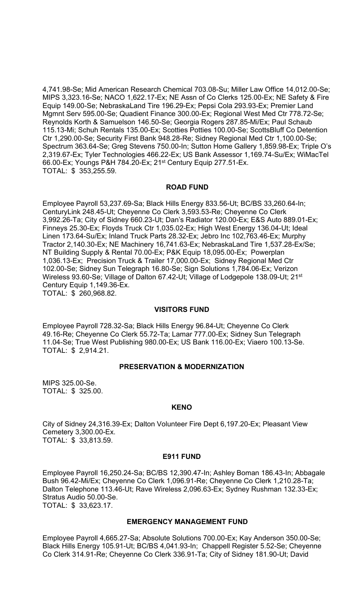4,741.98-Se; Mid American Research Chemical 703.08-Su; Miller Law Office 14,012.00-Se; MIPS 3,323.16-Se; NACO 1,622.17-Ex; NE Assn of Co Clerks 125.00-Ex; NE Safety & Fire Equip 149.00-Se; NebraskaLand Tire 196.29-Ex; Pepsi Cola 293.93-Ex; Premier Land Mgmnt Serv 595.00-Se; Quadient Finance 300.00-Ex; Regional West Med Ctr 778.72-Se; Reynolds Korth & Samuelson 146.50-Se; Georgia Rogers 287.85-Mi/Ex; Paul Schaub 115.13-Mi; Schuh Rentals 135.00-Ex; Scotties Potties 100.00-Se; ScottsBluff Co Detention Ctr 1,290.00-Se; Security First Bank 948.28-Re; Sidney Regional Med Ctr 1,100.00-Se; Spectrum 363.64-Se; Greg Stevens 750.00-In; Sutton Home Gallery 1,859.98-Ex; Triple O's 2,319.67-Ex; Tyler Technologies 466.22-Ex; US Bank Assessor 1,169.74-Su/Ex; WiMacTel 66.00-Ex; Youngs P&H 784.20-Ex; 21st Century Equip 277.51-Ex. TOTAL: \$ 353,255.59.

## **ROAD FUND**

Employee Payroll 53,237.69-Sa; Black Hills Energy 833.56-Ut; BC/BS 33,260.64-In; CenturyLink 248.45-Ut; Cheyenne Co Clerk 3,593.53-Re; Cheyenne Co Clerk 3,992.26-Ta; City of Sidney 660.23-Ut; Dan's Radiator 120.00-Ex; E&S Auto 889.01-Ex; Finneys 25.30-Ex; Floyds Truck Ctr 1,035.02-Ex; High West Energy 136.04-Ut; Ideal Linen 173.64-Su/Ex; Inland Truck Parts 28.32-Ex; Jebro Inc 102,763.46-Ex; Murphy Tractor 2,140.30-Ex; NE Machinery 16,741.63-Ex; NebraskaLand Tire 1,537.28-Ex/Se; NT Building Supply & Rental 70.00-Ex; P&K Equip 18,095.00-Ex; Powerplan 1,036.13-Ex; Precision Truck & Trailer 17,000.00-Ex; Sidney Regional Med Ctr 102.00-Se; Sidney Sun Telegraph 16.80-Se; Sign Solutions 1,784.06-Ex; Verizon Wireless 93.60-Se; Village of Dalton 67.42-Ut; Village of Lodgepole 138.09-Ut; 21st Century Equip 1,149.36-Ex. TOTAL: \$ 260,968.82.

#### **VISITORS FUND**

Employee Payroll 728.32-Sa; Black Hills Energy 96.84-Ut; Cheyenne Co Clerk 49.16-Re; Cheyenne Co Clerk 55.72-Ta; Lamar 777.00-Ex; Sidney Sun Telegraph 11.04-Se; True West Publishing 980.00-Ex; US Bank 116.00-Ex; Viaero 100.13-Se. TOTAL: \$ 2,914.21.

#### **PRESERVATION & MODERNIZATION**

MIPS 325.00-Se. TOTAL: \$ 325.00.

#### **KENO**

City of Sidney 24,316.39-Ex; Dalton Volunteer Fire Dept 6,197.20-Ex; Pleasant View Cemetery 3,300.00-Ex. TOTAL: \$ 33,813.59.

#### **E911 FUND**

Employee Payroll 16,250.24-Sa; BC/BS 12,390.47-In; Ashley Boman 186.43-In; Abbagale Bush 96.42-Mi/Ex; Cheyenne Co Clerk 1,096.91-Re; Cheyenne Co Clerk 1,210.28-Ta; Dalton Telephone 113.46-Ut; Rave Wireless 2,096.63-Ex; Sydney Rushman 132.33-Ex; Stratus Audio 50.00-Se. TOTAL: \$ 33,623.17.

#### **EMERGENCY MANAGEMENT FUND**

Employee Payroll 4,665.27-Sa; Absolute Solutions 700.00-Ex; Kay Anderson 350.00-Se; Black Hills Energy 105.91-Ut; BC/BS 4,041.93-In; Chappell Register 5.52-Se; Cheyenne Co Clerk 314.91-Re; Cheyenne Co Clerk 336.91-Ta; City of Sidney 181.90-Ut; David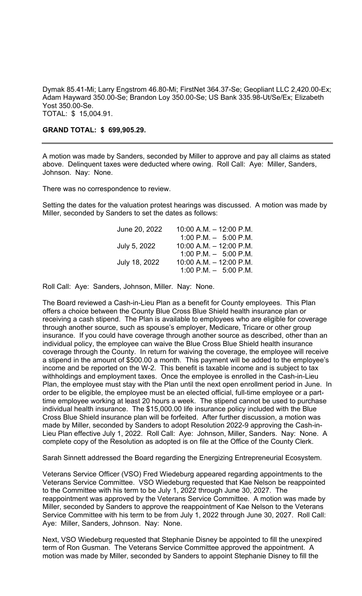Dymak 85.41-Mi; Larry Engstrom 46.80-Mi; FirstNet 364.37-Se; Geopliant LLC 2,420.00-Ex; Adam Hayward 350.00-Se; Brandon Loy 350.00-Se; US Bank 335.98-Ut/Se/Ex; Elizabeth Yost 350.00-Se. TOTAL: \$ 15,004.91.

#### **GRAND TOTAL: \$ 699,905.29.**

A motion was made by Sanders, seconded by Miller to approve and pay all claims as stated above. Delinquent taxes were deducted where owing. Roll Call: Aye: Miller, Sanders, Johnson. Nay: None.

There was no correspondence to review.

Setting the dates for the valuation protest hearings was discussed. A motion was made by Miller, seconded by Sanders to set the dates as follows:

| $10:00$ A.M. $-$ 12:00 P.M. |
|-----------------------------|
| 1:00 P.M. $-$ 5:00 P.M.     |
| $10:00$ A.M. $-12:00$ P.M.  |
| 1:00 P.M. $-$ 5:00 P.M.     |
| $10:00$ A.M. $-12:00$ P.M.  |
| $1:00$ P.M. $-$ 5:00 P.M.   |
|                             |

Roll Call: Aye: Sanders, Johnson, Miller. Nay: None.

The Board reviewed a Cash-in-Lieu Plan as a benefit for County employees. This Plan offers a choice between the County Blue Cross Blue Shield health insurance plan or receiving a cash stipend. The Plan is available to employees who are eligible for coverage through another source, such as spouse's employer, Medicare, Tricare or other group insurance. If you could have coverage through another source as described, other than an individual policy, the employee can waive the Blue Cross Blue Shield health insurance coverage through the County. In return for waiving the coverage, the employee will receive a stipend in the amount of \$500.00 a month. This payment will be added to the employee's income and be reported on the W-2. This benefit is taxable income and is subject to tax withholdings and employment taxes. Once the employee is enrolled in the Cash-in-Lieu Plan, the employee must stay with the Plan until the next open enrollment period in June. In order to be eligible, the employee must be an elected official, full-time employee or a parttime employee working at least 20 hours a week. The stipend cannot be used to purchase individual health insurance. The \$15,000.00 life insurance policy included with the Blue Cross Blue Shield insurance plan will be forfeited. After further discussion, a motion was made by Miller, seconded by Sanders to adopt Resolution 2022-9 approving the Cash-in-Lieu Plan effective July 1, 2022. Roll Call: Aye: Johnson, Miller, Sanders. Nay: None. A complete copy of the Resolution as adopted is on file at the Office of the County Clerk.

Sarah Sinnett addressed the Board regarding the Energizing Entrepreneurial Ecosystem.

Veterans Service Officer (VSO) Fred Wiedeburg appeared regarding appointments to the Veterans Service Committee. VSO Wiedeburg requested that Kae Nelson be reappointed to the Committee with his term to be July 1, 2022 through June 30, 2027. The reappointment was approved by the Veterans Service Committee. A motion was made by Miller, seconded by Sanders to approve the reappointment of Kae Nelson to the Veterans Service Committee with his term to be from July 1, 2022 through June 30, 2027. Roll Call: Aye: Miller, Sanders, Johnson. Nay: None.

Next, VSO Wiedeburg requested that Stephanie Disney be appointed to fill the unexpired term of Ron Gusman. The Veterans Service Committee approved the appointment. A motion was made by Miller, seconded by Sanders to appoint Stephanie Disney to fill the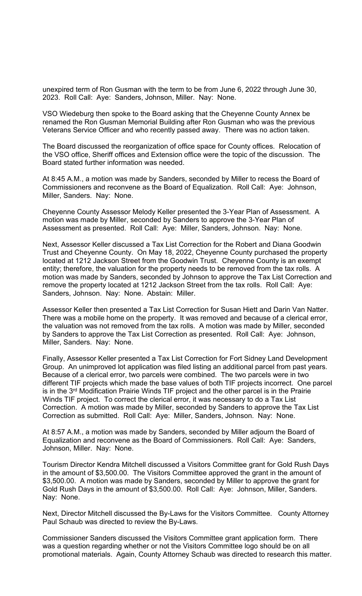unexpired term of Ron Gusman with the term to be from June 6, 2022 through June 30, 2023. Roll Call: Aye: Sanders, Johnson, Miller. Nay: None.

VSO Wiedeburg then spoke to the Board asking that the Cheyenne County Annex be renamed the Ron Gusman Memorial Building after Ron Gusman who was the previous Veterans Service Officer and who recently passed away. There was no action taken.

The Board discussed the reorganization of office space for County offices. Relocation of the VSO office, Sheriff offices and Extension office were the topic of the discussion. The Board stated further information was needed.

At 8:45 A.M., a motion was made by Sanders, seconded by Miller to recess the Board of Commissioners and reconvene as the Board of Equalization. Roll Call: Aye: Johnson, Miller, Sanders. Nay: None.

Cheyenne County Assessor Melody Keller presented the 3-Year Plan of Assessment. A motion was made by Miller, seconded by Sanders to approve the 3-Year Plan of Assessment as presented. Roll Call: Aye: Miller, Sanders, Johnson. Nay: None.

Next, Assessor Keller discussed a Tax List Correction for the Robert and Diana Goodwin Trust and Cheyenne County. On May 18, 2022, Cheyenne County purchased the property located at 1212 Jackson Street from the Goodwin Trust. Cheyenne County is an exempt entity; therefore, the valuation for the property needs to be removed from the tax rolls. A motion was made by Sanders, seconded by Johnson to approve the Tax List Correction and remove the property located at 1212 Jackson Street from the tax rolls. Roll Call: Aye: Sanders, Johnson. Nay: None. Abstain: Miller.

Assessor Keller then presented a Tax List Correction for Susan Hiett and Darin Van Natter. There was a mobile home on the property. It was removed and because of a clerical error, the valuation was not removed from the tax rolls. A motion was made by Miller, seconded by Sanders to approve the Tax List Correction as presented. Roll Call: Aye: Johnson, Miller, Sanders. Nay: None.

Finally, Assessor Keller presented a Tax List Correction for Fort Sidney Land Development Group. An unimproved lot application was filed listing an additional parcel from past years. Because of a clerical error, two parcels were combined. The two parcels were in two different TIF projects which made the base values of both TIF projects incorrect. One parcel is in the 3rd Modification Prairie Winds TIF project and the other parcel is in the Prairie Winds TIF project. To correct the clerical error, it was necessary to do a Tax List Correction. A motion was made by Miller, seconded by Sanders to approve the Tax List Correction as submitted. Roll Call: Aye: Miller, Sanders, Johnson. Nay: None.

At 8:57 A.M., a motion was made by Sanders, seconded by Miller adjourn the Board of Equalization and reconvene as the Board of Commissioners. Roll Call: Aye: Sanders, Johnson, Miller. Nay: None.

Tourism Director Kendra Mitchell discussed a Visitors Committee grant for Gold Rush Days in the amount of \$3,500.00. The Visitors Committee approved the grant in the amount of \$3,500.00. A motion was made by Sanders, seconded by Miller to approve the grant for Gold Rush Days in the amount of \$3,500.00. Roll Call: Aye: Johnson, Miller, Sanders. Nay: None.

Next, Director Mitchell discussed the By-Laws for the Visitors Committee. County Attorney Paul Schaub was directed to review the By-Laws.

Commissioner Sanders discussed the Visitors Committee grant application form. There was a question regarding whether or not the Visitors Committee logo should be on all promotional materials. Again, County Attorney Schaub was directed to research this matter.